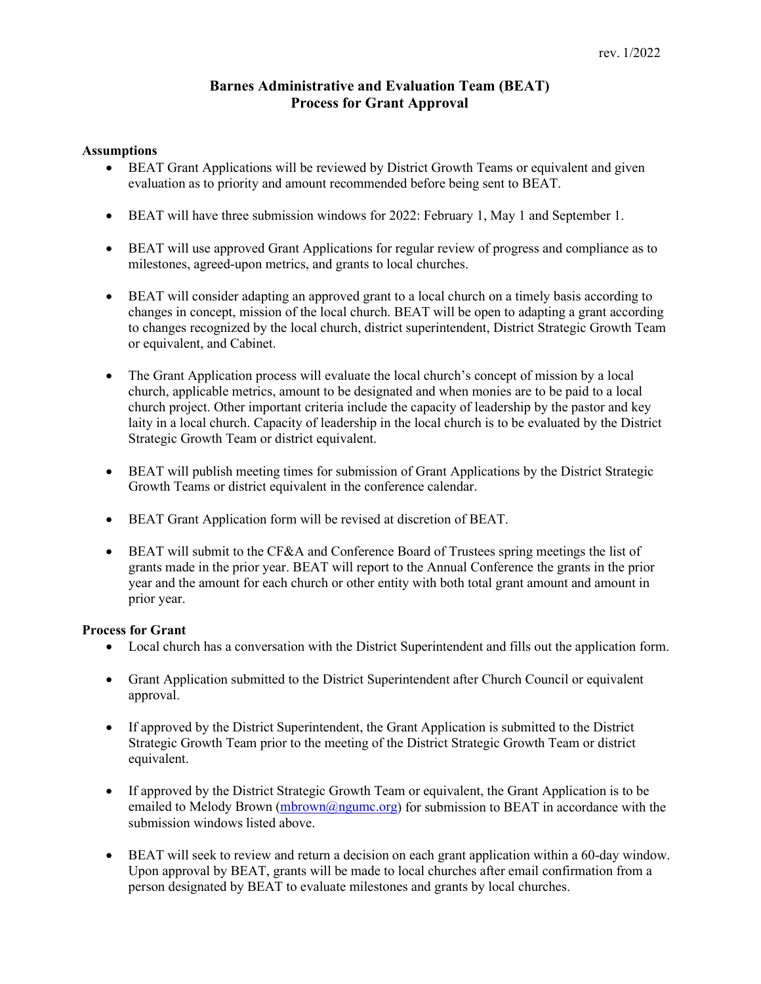# **Barnes Administrative and Evaluation Team (BEAT) Process for Grant Approval**

### **Assumptions**

- BEAT Grant Applications will be reviewed by District Growth Teams or equivalent and given evaluation as to priority and amount recommended before being sent to BEAT.
- BEAT will have three submission windows for 2022: February 1, May 1 and September 1.
- BEAT will use approved Grant Applications for regular review of progress and compliance as to milestones, agreed-upon metrics, and grants to local churches.
- BEAT will consider adapting an approved grant to a local church on a timely basis according to changes in concept, mission of the local church. BEAT will be open to adapting a grant according to changes recognized by the local church, district superintendent, District Strategic Growth Team or equivalent, and Cabinet.
- The Grant Application process will evaluate the local church's concept of mission by a local church, applicable metrics, amount to be designated and when monies are to be paid to a local church project. Other important criteria include the capacity of leadership by the pastor and key laity in a local church. Capacity of leadership in the local church is to be evaluated by the District Strategic Growth Team or district equivalent.
- BEAT will publish meeting times for submission of Grant Applications by the District Strategic Growth Teams or district equivalent in the conference calendar.
- BEAT Grant Application form will be revised at discretion of BEAT.
- BEAT will submit to the CF&A and Conference Board of Trustees spring meetings the list of grants made in the prior year. BEAT will report to the Annual Conference the grants in the prior year and the amount for each church or other entity with both total grant amount and amount in prior year.

### **Process for Grant**

- Local church has a conversation with the District Superintendent and fills out the application form.
- Grant Application submitted to the District Superintendent after Church Council or equivalent approval.
- If approved by the District Superintendent, the Grant Application is submitted to the District Strategic Growth Team prior to the meeting of the District Strategic Growth Team or district equivalent.
- If approved by the District Strategic Growth Team or equivalent, the Grant Application is to be emailed to Melody Brown [\(mbrown@ngumc.org\)](mailto:mbrown@ngumc.org) for submission to BEAT in accordance with the submission windows listed above.
- BEAT will seek to review and return a decision on each grant application within a 60-day window. Upon approval by BEAT, grants will be made to local churches after email confirmation from a person designated by BEAT to evaluate milestones and grants by local churches.